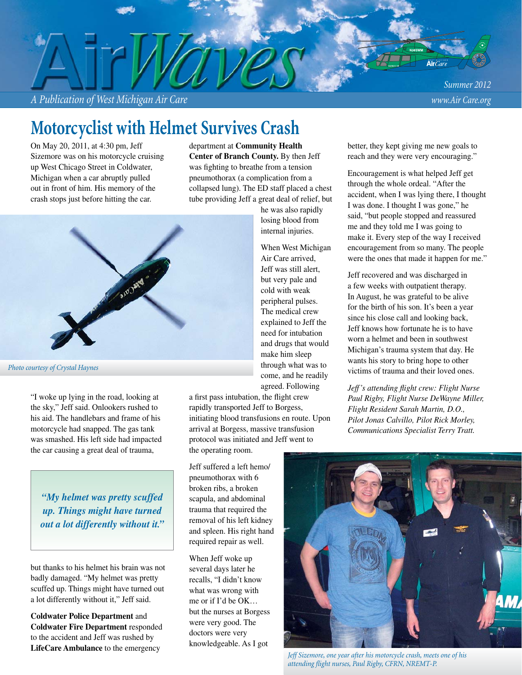*A Publication of West Michigan Air Care www.Air Care.org*

*Summer 2012*

## **Motorcyclist with Helmet Survives Crash**

On May 20, 2011, at 4:30 pm, Jeff Sizemore was on his motorcycle cruising up West Chicago Street in Coldwater, Michigan when a car abruptly pulled out in front of him. His memory of the crash stops just before hitting the car.

department at **Community Health Center of Branch County.** By then Jeff was fighting to breathe from a tension pneumothorax (a complication from a collapsed lung). The ED staff placed a chest tube providing Jeff a great deal of relief, but



*Photo courtesy of Crystal Haynes*

"I woke up lying in the road, looking at the sky," Jeff said. Onlookers rushed to his aid. The handlebars and frame of his motorcycle had snapped. The gas tank was smashed. His left side had impacted the car causing a great deal of trauma,

*"My helmet was pretty scuffed up. Things might have turned out a lot differently without it."* 

but thanks to his helmet his brain was not badly damaged. "My helmet was pretty scuffed up. Things might have turned out a lot differently without it," Jeff said.

**Coldwater Police Department** and **Coldwater Fire Department** responded to the accident and Jeff was rushed by **LifeCare Ambulance** to the emergency

When West Michigan Air Care arrived, Jeff was still alert, but very pale and cold with weak peripheral pulses. The medical crew explained to Jeff the need for intubation and drugs that would make him sleep through what was to come, and he readily agreed. Following

he was also rapidly losing blood from internal injuries.

a first pass intubation, the flight crew rapidly transported Jeff to Borgess, initiating blood transfusions en route. Upon arrival at Borgess, massive transfusion protocol was initiated and Jeff went to the operating room.

Jeff suffered a left hemo/ pneumothorax with 6 broken ribs, a broken scapula, and abdominal trauma that required the removal of his left kidney and spleen. His right hand required repair as well.

When Jeff woke up several days later he recalls, "I didn't know what was wrong with me or if I'd be OK… but the nurses at Borgess were very good. The doctors were very knowledgeable. As I got

better, they kept giving me new goals to reach and they were very encouraging."

Encouragement is what helped Jeff get through the whole ordeal. "After the accident, when I was lying there, I thought I was done. I thought I was gone," he said, "but people stopped and reassured me and they told me I was going to make it. Every step of the way I received encouragement from so many. The people were the ones that made it happen for me."

Jeff recovered and was discharged in a few weeks with outpatient therapy. In August, he was grateful to be alive for the birth of his son. It's been a year since his close call and looking back, Jeff knows how fortunate he is to have worn a helmet and been in southwest Michigan's trauma system that day. He wants his story to bring hope to other victims of trauma and their loved ones.

*Jeff's attending fl ight crew: Flight Nurse Paul Rigby, Flight Nurse DeWayne Miller, Flight Resident Sarah Martin, D.O., Pilot Jonas Calvillo, Pilot Rick Morley, Communications Specialist Terry Tratt.*



*Jeff Sizemore, one year after his motorcycle crash, meets one of his attending flight nurses, Paul Rigby, CFRN, NREMT-P.*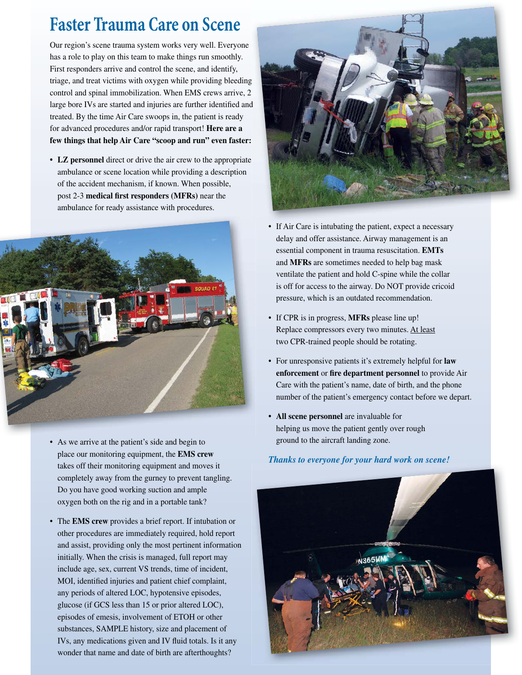## **Faster Trauma Care on Scene**

Our region's scene trauma system works very well. Everyone has a role to play on this team to make things run smoothly. First responders arrive and control the scene, and identify, triage, and treat victims with oxygen while providing bleeding g control and spinal immobilization. When EMS crews arrive, 2 large bore IVs are started and injuries are further identified and treated. By the time Air Care swoops in, the patient is ready for advanced procedures and/or rapid transport! **Here are a few things that help Air Care "scoop and run" even faster:**

**• LZ personnel** direct or drive the air crew to the appropriate ambulance or scene location while providing a description of the accident mechanism, if known. When possible, post 2-3 **medical first responders (MFRs)** near the ambulance for ready assistance with procedures.



- As we arrive at the patient's side and begin to place our monitoring equipment, the **EMS crew** takes off their monitoring equipment and moves it completely away from the gurney to prevent tangling. Do you have good working suction and ample oxygen both on the rig and in a portable tank?
- The **EMS crew** provides a brief report. If intubation or other procedures are immediately required, hold report and assist, providing only the most pertinent information initially. When the crisis is managed, full report may include age, sex, current VS trends, time of incident, MOI, identified injuries and patient chief complaint, any periods of altered LOC, hypotensive episodes, glucose (if GCS less than 15 or prior altered LOC), episodes of emesis, involvement of ETOH or other substances, SAMPLE history, size and placement of IVs, any medications given and IV fluid totals. Is it any wonder that name and date of birth are afterthoughts?



- If Air Care is intubating the patient, expect a necessary delay and offer assistance. Airway management is an essential component in trauma resuscitation. **EMTs** and **MFRs** are sometimes needed to help bag mask ventilate the patient and hold C-spine while the collar is off for access to the airway. Do NOT provide cricoid pressure, which is an outdated recommendation.
- If CPR is in progress, **MFRs** please line up! Replace compressors every two minutes. At least two CPR-trained people should be rotating.
- For unresponsive patients it's extremely helpful for **law enforcement** or **fire department** personnel to provide Air Care with the patient's name, date of birth, and the phone number of the patient's emergency contact before we depart.
- **All scene personnel** are invaluable for helping us move the patient gently over rough ground to the aircraft landing zone.

#### **Thanks to everyone for your hard work on scene!**

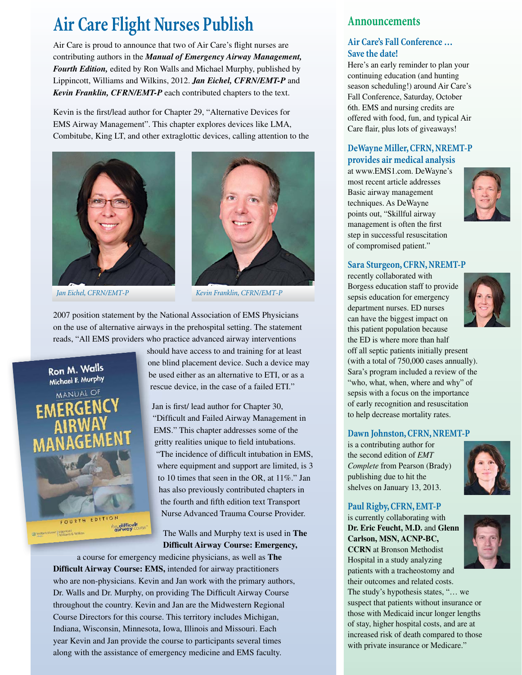## Air Care Flight Nurses Publish **Announcements**

Air Care is proud to announce that two of Air Care's flight nurses are contributing authors in the *Manual of Emergency Airway Management, Fourth Edition,* edited by Ron Walls and Michael Murphy, published by Lippincott, Williams and Wilkins, 2012. *Jan Eichel, CFRN/EMT-P* and *Kevin Franklin, CFRN/EMT-P* each contributed chapters to the text.

Kevin is the first/lead author for Chapter 29, "Alternative Devices for EMS Airway Management". This chapter explores devices like LMA, Combitube, King LT, and other extraglottic devices, calling attention to the





*Jan Eichel, CFRN/EMT-P Kevin Franklin, CFRN/EMT-P*

2007 position statement by the National Association of EMS Physicians on the use of alternative airways in the prehospital setting. The statement reads, "All EMS providers who practice advanced airway interventions



should have access to and training for at least one blind placement device. Such a device may be used either as an alternative to ETI, or as a rescue device, in the case of a failed ETI."

Jan is first/ lead author for Chapter 30, "Difficult and Failed Airway Management in EMS." This chapter addresses some of the EM gritty realities unique to field intubations. "The incidence of difficult intubation in EMS, where equipment and support are limited, is 3 to 10 times that seen in the OR, at  $11\%$ ." Jan has also previously contributed chapters in h the fourth and fifth edition text Transport Nurse Advanced Trauma Course Provider. N

The Walls and Murphy text is used in **The Difficult Airway Course: Emergency,** 

a course for emergency medicine physicians, as well as **The**  f**Difficult Airway Course: EMS, intended for airway practitioners** who are non-physicians. Kevin and Jan work with the primary authors, Dr. Walls and Dr. Murphy, on providing The Difficult Airway Course throughout the country. Kevin and Jan are the Midwestern Regional Course Directors for this course. This territory includes Michigan, Indiana, Wisconsin, Minnesota, Iowa, Illinois and Missouri. Each year Kevin and Jan provide the course to participants several times along with the assistance of emergency medicine and EMS faculty.

#### **Air Care's Fall Conference … Save the date!**

Here's an early reminder to plan your continuing education (and hunting season scheduling!) around Air Care's Fall Conference, Saturday, October 6th. EMS and nursing credits are offered with food, fun, and typical Air Care flair, plus lots of giveaways!

### **DeWayne Miller, CFRN, NREMT-P provides air medical analysis**

at www.EMS1.com. DeWayne's most recent article addresses Basic airway management techniques. As DeWayne points out, "Skillful airway management is often the first step in successful resuscitation of compromised patient."



### **Sara Sturgeon, CFRN, NREMT-P**

recently collaborated with Borgess education staff to provide sepsis education for emergency department nurses. ED nurses can have the biggest impact on this patient population because the ED is where more than half off all septic patients initially present (with a total of 750,000 cases annually). Sara's program included a review of the "who, what, when, where and why" of sepsis with a focus on the importance of early recognition and resuscitation to help decrease mortality rates.

#### **Dawn Johnston, CFRN, NREMT-P**

is a contributing author for the second edition of *EMT Complete* from Pearson (Brady) publishing due to hit the shelves on January 13, 2013.

### **Paul Rigby, CFRN, EMT-P**

is currently collaborating with **Dr. Eric Feucht, M.D.** and **Glenn Carlson, MSN, ACNP-BC, CCRN** at Bronson Methodist Hospital in a study analyzing patients with a tracheostomy and their outcomes and related costs. The study's hypothesis states, "… we suspect that patients without insurance or those with Medicaid incur longer lengths of stay, higher hospital costs, and are at increased risk of death compared to those with private insurance or Medicare."